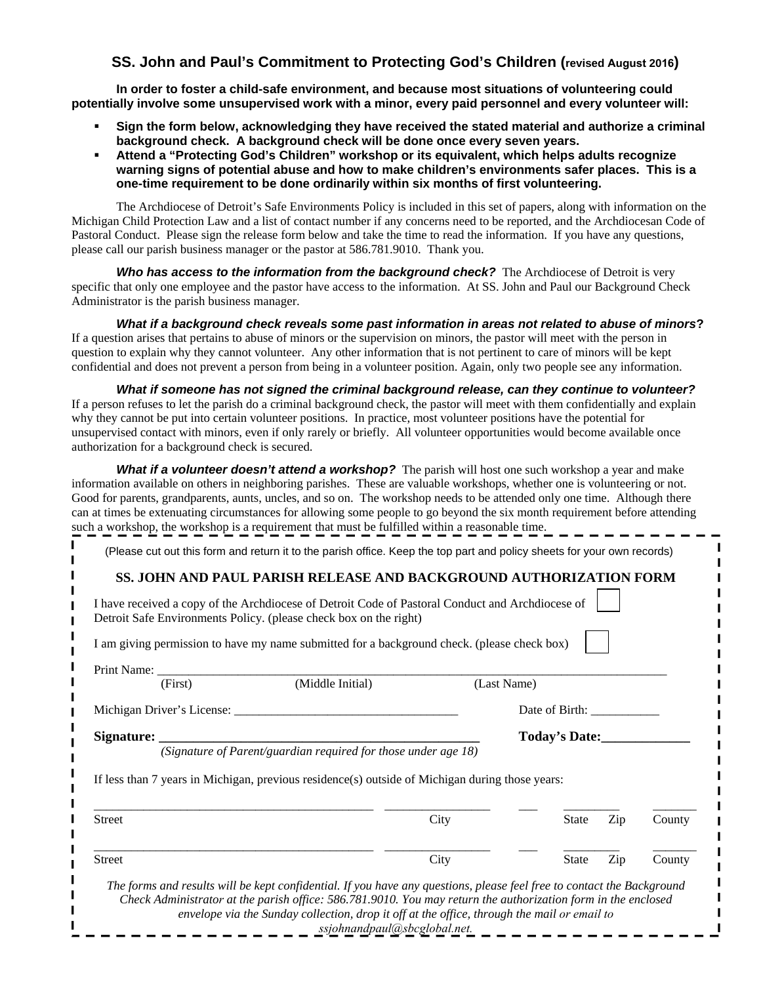# **SS. John and Paul's Commitment to Protecting God's Children (revised August 2016)**

**In order to foster a child-safe environment, and because most situations of volunteering could potentially involve some unsupervised work with a minor, every paid personnel and every volunteer will:** 

- **Sign the form below, acknowledging they have received the stated material and authorize a criminal background check. A background check will be done once every seven years.**
- **Attend a "Protecting God's Children" workshop or its equivalent, which helps adults recognize warning signs of potential abuse and how to make children's environments safer places. This is a one-time requirement to be done ordinarily within six months of first volunteering.**

The Archdiocese of Detroit's Safe Environments Policy is included in this set of papers, along with information on the Michigan Child Protection Law and a list of contact number if any concerns need to be reported, and the Archdiocesan Code of Pastoral Conduct. Please sign the release form below and take the time to read the information. If you have any questions, please call our parish business manager or the pastor at 586.781.9010. Thank you.

*Who has access to the information from the background check?* The Archdiocese of Detroit is very specific that only one employee and the pastor have access to the information. At SS. John and Paul our Background Check Administrator is the parish business manager.

*What if a background check reveals some past information in areas not related to abuse of minors***?**  If a question arises that pertains to abuse of minors or the supervision on minors, the pastor will meet with the person in question to explain why they cannot volunteer. Any other information that is not pertinent to care of minors will be kept confidential and does not prevent a person from being in a volunteer position. Again, only two people see any information.

*What if someone has not signed the criminal background release, can they continue to volunteer?* If a person refuses to let the parish do a criminal background check, the pastor will meet with them confidentially and explain why they cannot be put into certain volunteer positions. In practice, most volunteer positions have the potential for unsupervised contact with minors, even if only rarely or briefly. All volunteer opportunities would become available once authorization for a background check is secured.

*What if a volunteer doesn't attend a workshop?* The parish will host one such workshop a year and make information available on others in neighboring parishes. These are valuable workshops, whether one is volunteering or not. Good for parents, grandparents, aunts, uncles, and so on. The workshop needs to be attended only one time. Although there can at times be extenuating circumstances for allowing some people to go beyond the six month requirement before attending such a workshop, the workshop is a requirement that must be fulfilled within a reasonable time.

(Please cut out this form and return it to the parish office. Keep the top part and policy sheets for your own records)

#### **SS. JOHN AND PAUL PARISH RELEASE AND BACKGROUND AUTHORIZATION FORM**

|                                                                                                                                                                                                                                | I have received a copy of the Archdiocese of Detroit Code of Pastoral Conduct and Archdiocese of<br>Detroit Safe Environments Policy. (please check box on the right) |                |              |     |        |
|--------------------------------------------------------------------------------------------------------------------------------------------------------------------------------------------------------------------------------|-----------------------------------------------------------------------------------------------------------------------------------------------------------------------|----------------|--------------|-----|--------|
|                                                                                                                                                                                                                                | I am giving permission to have my name submitted for a background check. (please check box)                                                                           |                |              |     |        |
| Print Name: 1988 and 1988 and 1988 and 1988 and 1988 and 1988 and 1988 and 1988 and 1988 and 1988 and 1988 and 1988 and 1988 and 1988 and 1988 and 1988 and 1988 and 1988 and 1988 and 1988 and 1988 and 1988 and 1988 and 198 |                                                                                                                                                                       |                |              |     |        |
| (First)                                                                                                                                                                                                                        | (Middle Initial)                                                                                                                                                      | (Last Name)    |              |     |        |
|                                                                                                                                                                                                                                |                                                                                                                                                                       | Date of Birth: |              |     |        |
| Signature:                                                                                                                                                                                                                     |                                                                                                                                                                       | Today's Date:  |              |     |        |
|                                                                                                                                                                                                                                | If less than 7 years in Michigan, previous residence(s) outside of Michigan during those years:                                                                       |                |              |     |        |
|                                                                                                                                                                                                                                |                                                                                                                                                                       |                |              |     |        |
|                                                                                                                                                                                                                                |                                                                                                                                                                       | City           | State        | Zip | County |
| Street<br>Street                                                                                                                                                                                                               |                                                                                                                                                                       | City           | <b>State</b> | Zip | County |

*ssjohnandpaul@sbcglobal.net.*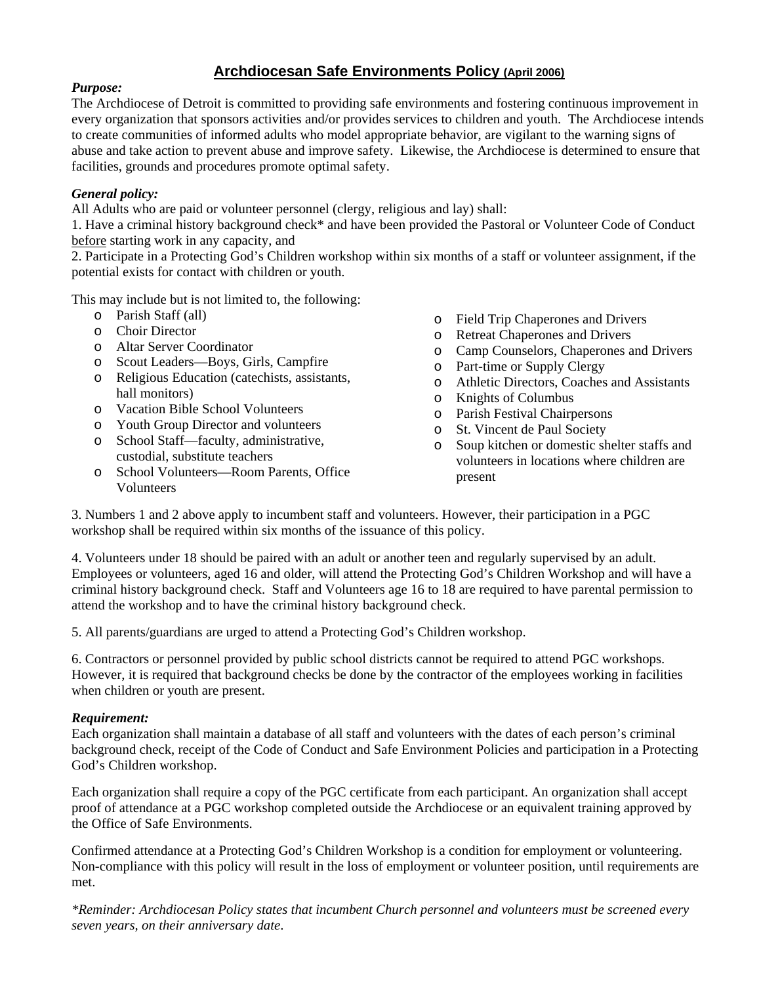# **Archdiocesan Safe Environments Policy (April 2006)**

# *Purpose:*

The Archdiocese of Detroit is committed to providing safe environments and fostering continuous improvement in every organization that sponsors activities and/or provides services to children and youth. The Archdiocese intends to create communities of informed adults who model appropriate behavior, are vigilant to the warning signs of abuse and take action to prevent abuse and improve safety. Likewise, the Archdiocese is determined to ensure that facilities, grounds and procedures promote optimal safety.

# *General policy:*

All Adults who are paid or volunteer personnel (clergy, religious and lay) shall:

1. Have a criminal history background check\* and have been provided the Pastoral or Volunteer Code of Conduct before starting work in any capacity, and

2. Participate in a Protecting God's Children workshop within six months of a staff or volunteer assignment, if the potential exists for contact with children or youth.

This may include but is not limited to, the following:

- o Parish Staff (all)
- o Choir Director
- o Altar Server Coordinator
- o Scout Leaders—Boys, Girls, Campfire
- o Religious Education (catechists, assistants, hall monitors)
- o Vacation Bible School Volunteers
- o Youth Group Director and volunteers
- o School Staff—faculty, administrative, custodial, substitute teachers
- o School Volunteers—Room Parents, Office Volunteers
- o Field Trip Chaperones and Drivers
- o Retreat Chaperones and Drivers
- o Camp Counselors, Chaperones and Drivers
- o Part-time or Supply Clergy
- o Athletic Directors, Coaches and Assistants
- o Knights of Columbus
- o Parish Festival Chairpersons
- o St. Vincent de Paul Society
- o Soup kitchen or domestic shelter staffs and volunteers in locations where children are present

3. Numbers 1 and 2 above apply to incumbent staff and volunteers. However, their participation in a PGC workshop shall be required within six months of the issuance of this policy.

4. Volunteers under 18 should be paired with an adult or another teen and regularly supervised by an adult. Employees or volunteers, aged 16 and older, will attend the Protecting God's Children Workshop and will have a criminal history background check. Staff and Volunteers age 16 to 18 are required to have parental permission to attend the workshop and to have the criminal history background check.

5. All parents/guardians are urged to attend a Protecting God's Children workshop.

6. Contractors or personnel provided by public school districts cannot be required to attend PGC workshops. However, it is required that background checks be done by the contractor of the employees working in facilities when children or youth are present.

# *Requirement:*

Each organization shall maintain a database of all staff and volunteers with the dates of each person's criminal background check, receipt of the Code of Conduct and Safe Environment Policies and participation in a Protecting God's Children workshop.

Each organization shall require a copy of the PGC certificate from each participant. An organization shall accept proof of attendance at a PGC workshop completed outside the Archdiocese or an equivalent training approved by the Office of Safe Environments.

Confirmed attendance at a Protecting God's Children Workshop is a condition for employment or volunteering. Non-compliance with this policy will result in the loss of employment or volunteer position, until requirements are met.

*\*Reminder: Archdiocesan Policy states that incumbent Church personnel and volunteers must be screened every seven years, on their anniversary date*.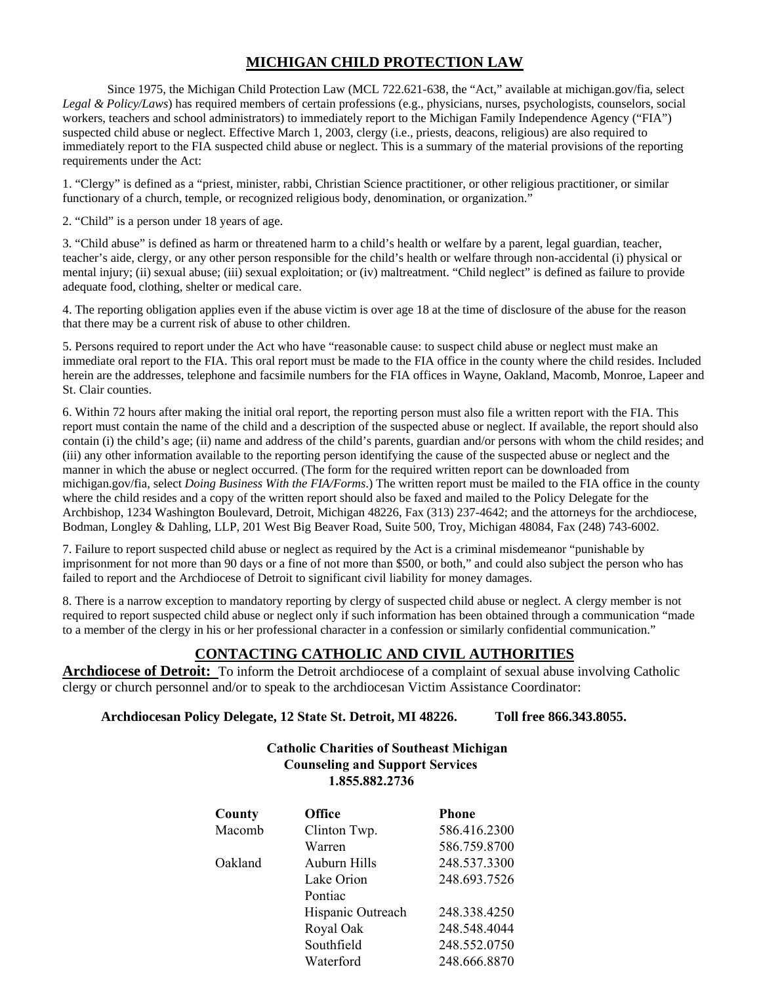# **MICHIGAN CHILD PROTECTION LAW**

Since 1975, the Michigan Child Protection Law (MCL 722.621-638, the "Act," available at michigan.gov/fia*,* select *Legal & Policy/Laws*) has required members of certain professions (e.g., physicians, nurses, psychologists, counselors, social workers, teachers and school administrators) to immediately report to the Michigan Family Independence Agency ("FIA") suspected child abuse or neglect. Effective March 1, 2003, clergy (i.e., priests, deacons, religious) are also required to immediately report to the FIA suspected child abuse or neglect. This is a summary of the material provisions of the reporting requirements under the Act:

1. "Clergy" is defined as a "priest, minister, rabbi, Christian Science practitioner, or other religious practitioner, or similar functionary of a church, temple, or recognized religious body, denomination, or organization."

2. "Child" is a person under 18 years of age.

3. "Child abuse" is defined as harm or threatened harm to a child's health or welfare by a parent, legal guardian, teacher, teacher's aide, clergy, or any other person responsible for the child's health or welfare through non-accidental (i) physical or mental injury; (ii) sexual abuse; (iii) sexual exploitation; or (iv) maltreatment. "Child neglect" is defined as failure to provide adequate food, clothing, shelter or medical care.

4. The reporting obligation applies even if the abuse victim is over age 18 at the time of disclosure of the abuse for the reason that there may be a current risk of abuse to other children.

5. Persons required to report under the Act who have "reasonable cause: to suspect child abuse or neglect must make an immediate oral report to the FIA. This oral report must be made to the FIA office in the county where the child resides. Included herein are the addresses, telephone and facsimile numbers for the FIA offices in Wayne, Oakland, Macomb, Monroe, Lapeer and St. Clair counties.

6. Within 72 hours after making the initial oral report, the reporting person must also file a written report with the FIA. This report must contain the name of the child and a description of the suspected abuse or neglect. If available, the report should also contain (i) the child's age; (ii) name and address of the child's parents, guardian and/or persons with whom the child resides; and (iii) any other information available to the reporting person identifying the cause of the suspected abuse or neglect and the manner in which the abuse or neglect occurred. (The form for the required written report can be downloaded from michigan.gov/fia, select *Doing Business With the FIA/Forms*.) The written report must be mailed to the FIA office in the county where the child resides and a copy of the written report should also be faxed and mailed to the Policy Delegate for the Archbishop, 1234 Washington Boulevard, Detroit, Michigan 48226, Fax (313) 237-4642; and the attorneys for the archdiocese, Bodman, Longley & Dahling, LLP, 201 West Big Beaver Road, Suite 500, Troy, Michigan 48084, Fax (248) 743-6002.

7. Failure to report suspected child abuse or neglect as required by the Act is a criminal misdemeanor "punishable by imprisonment for not more than 90 days or a fine of not more than \$500, or both," and could also subject the person who has failed to report and the Archdiocese of Detroit to significant civil liability for money damages.

8. There is a narrow exception to mandatory reporting by clergy of suspected child abuse or neglect. A clergy member is not required to report suspected child abuse or neglect only if such information has been obtained through a communication "made to a member of the clergy in his or her professional character in a confession or similarly confidential communication."

# **CONTACTING CATHOLIC AND CIVIL AUTHORITIES**

**Archdiocese of Detroit:** To inform the Detroit archdiocese of a complaint of sexual abuse involving Catholic clergy or church personnel and/or to speak to the archdiocesan Victim Assistance Coordinator:

**Archdiocesan Policy Delegate, 12 State St. Detroit, MI 48226. Toll free 866.343.8055.** 

# **Catholic Charities of Southeast Michigan Counseling and Support Services 1.855.882.2736**

| County  | <b>Office</b>     | <b>Phone</b> |
|---------|-------------------|--------------|
| Macomb  | Clinton Twp.      | 586.416.2300 |
|         | Warren            | 586.759.8700 |
| Oakland | Auburn Hills      | 248.537.3300 |
|         | Lake Orion        | 248.693.7526 |
|         | Pontiac           |              |
|         | Hispanic Outreach | 248.338.4250 |
|         | Royal Oak         | 248.548.4044 |
|         | Southfield        | 248.552.0750 |
|         | Waterford         | 248.666.8870 |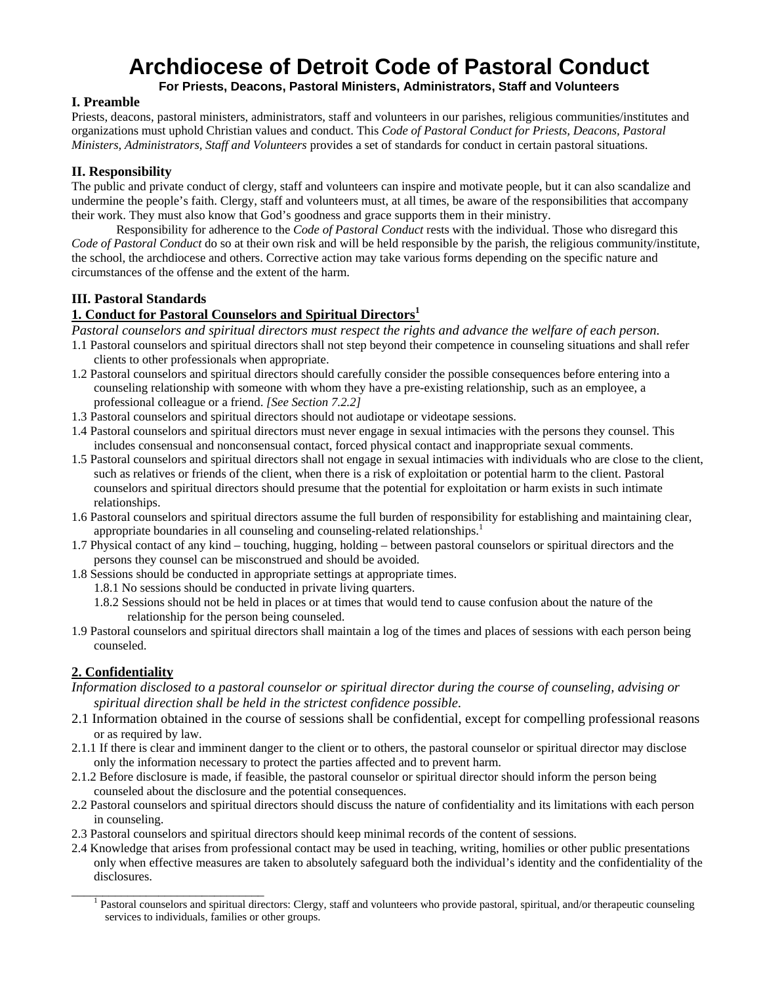# **Archdiocese of Detroit Code of Pastoral Conduct**

**For Priests, Deacons, Pastoral Ministers, Administrators, Staff and Volunteers**

#### **I. Preamble**

Priests, deacons, pastoral ministers, administrators, staff and volunteers in our parishes, religious communities/institutes and organizations must uphold Christian values and conduct. This *Code of Pastoral Conduct for Priests, Deacons, Pastoral Ministers, Administrators, Staff and Volunteers* provides a set of standards for conduct in certain pastoral situations.

# **II. Responsibility**

The public and private conduct of clergy, staff and volunteers can inspire and motivate people, but it can also scandalize and undermine the people's faith. Clergy, staff and volunteers must, at all times, be aware of the responsibilities that accompany their work. They must also know that God's goodness and grace supports them in their ministry.

Responsibility for adherence to the *Code of Pastoral Conduct* rests with the individual. Those who disregard this *Code of Pastoral Conduct* do so at their own risk and will be held responsible by the parish, the religious community/institute, the school, the archdiocese and others. Corrective action may take various forms depending on the specific nature and circumstances of the offense and the extent of the harm.

## **III. Pastoral Standards**

## **1. Conduct for Pastoral Counselors and Spiritual Directors<sup>1</sup>**

*Pastoral counselors and spiritual directors must respect the rights and advance the welfare of each person.* 

- 1.1 Pastoral counselors and spiritual directors shall not step beyond their competence in counseling situations and shall refer clients to other professionals when appropriate.
- 1.2 Pastoral counselors and spiritual directors should carefully consider the possible consequences before entering into a counseling relationship with someone with whom they have a pre-existing relationship, such as an employee, a professional colleague or a friend. *[See Section 7.2.2]*
- 1.3 Pastoral counselors and spiritual directors should not audiotape or videotape sessions.
- 1.4 Pastoral counselors and spiritual directors must never engage in sexual intimacies with the persons they counsel. This includes consensual and nonconsensual contact, forced physical contact and inappropriate sexual comments.
- 1.5 Pastoral counselors and spiritual directors shall not engage in sexual intimacies with individuals who are close to the client, such as relatives or friends of the client, when there is a risk of exploitation or potential harm to the client. Pastoral counselors and spiritual directors should presume that the potential for exploitation or harm exists in such intimate relationships.
- 1.6 Pastoral counselors and spiritual directors assume the full burden of responsibility for establishing and maintaining clear, appropriate boundaries in all counseling and counseling-related relationships.<sup>1</sup>
- 1.7 Physical contact of any kind touching, hugging, holding between pastoral counselors or spiritual directors and the persons they counsel can be misconstrued and should be avoided.
- 1.8 Sessions should be conducted in appropriate settings at appropriate times.
	- 1.8.1 No sessions should be conducted in private living quarters.
	- 1.8.2 Sessions should not be held in places or at times that would tend to cause confusion about the nature of the relationship for the person being counseled.
- 1.9 Pastoral counselors and spiritual directors shall maintain a log of the times and places of sessions with each person being counseled.

# **2. Confidentiality**

- *Information disclosed to a pastoral counselor or spiritual director during the course of counseling, advising or spiritual direction shall be held in the strictest confidence possible.*
- 2.1 Information obtained in the course of sessions shall be confidential, except for compelling professional reasons or as required by law.
- 2.1.1 If there is clear and imminent danger to the client or to others, the pastoral counselor or spiritual director may disclose only the information necessary to protect the parties affected and to prevent harm.
- 2.1.2 Before disclosure is made, if feasible, the pastoral counselor or spiritual director should inform the person being counseled about the disclosure and the potential consequences.
- 2.2 Pastoral counselors and spiritual directors should discuss the nature of confidentiality and its limitations with each person in counseling.
- 2.3 Pastoral counselors and spiritual directors should keep minimal records of the content of sessions.
- 2.4 Knowledge that arises from professional contact may be used in teaching, writing, homilies or other public presentations only when effective measures are taken to absolutely safeguard both the individual's identity and the confidentiality of the disclosures.

<sup>&</sup>lt;sup>1</sup> Pastoral counselors and spiritual directors: Clergy, staff and volunteers who provide pastoral, spiritual, and/or therapeutic counseling services to individuals, families or other groups.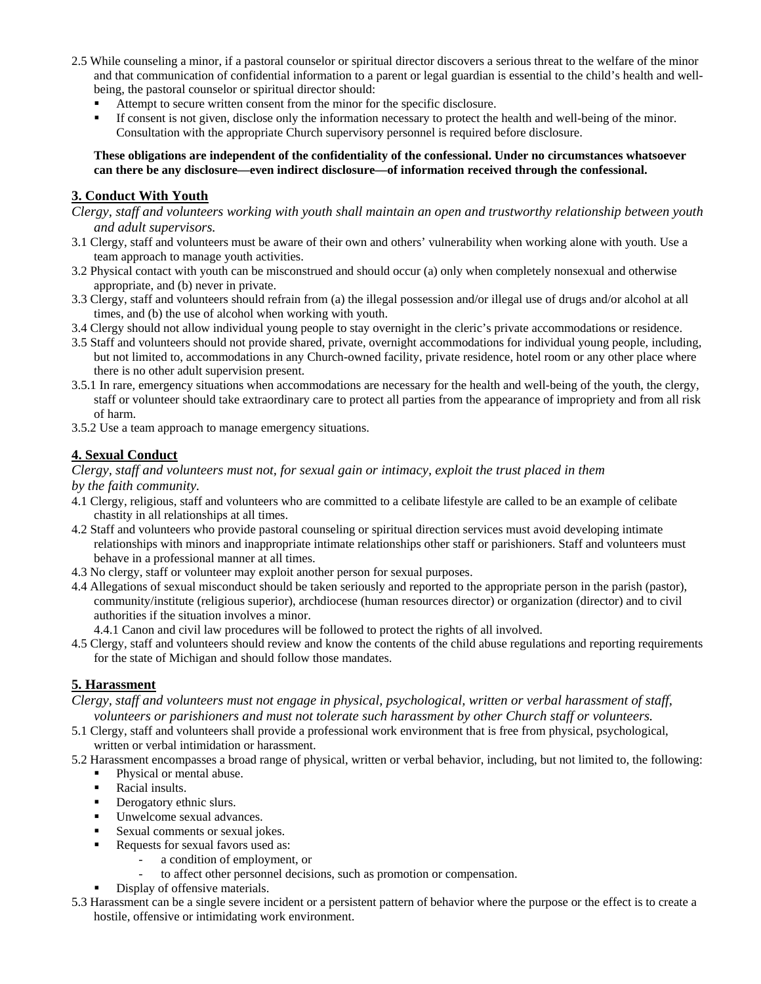- 2.5 While counseling a minor, if a pastoral counselor or spiritual director discovers a serious threat to the welfare of the minor and that communication of confidential information to a parent or legal guardian is essential to the child's health and wellbeing, the pastoral counselor or spiritual director should:
	- Attempt to secure written consent from the minor for the specific disclosure.
	- If consent is not given, disclose only the information necessary to protect the health and well-being of the minor. Consultation with the appropriate Church supervisory personnel is required before disclosure.

**These obligations are independent of the confidentiality of the confessional. Under no circumstances whatsoever can there be any disclosure—even indirect disclosure—of information received through the confessional.** 

## **3. Conduct With Youth**

- *Clergy, staff and volunteers working with youth shall maintain an open and trustworthy relationship between youth and adult supervisors.*
- 3.1 Clergy, staff and volunteers must be aware of their own and others' vulnerability when working alone with youth. Use a team approach to manage youth activities.
- 3.2 Physical contact with youth can be misconstrued and should occur (a) only when completely nonsexual and otherwise appropriate, and (b) never in private.
- 3.3 Clergy, staff and volunteers should refrain from (a) the illegal possession and/or illegal use of drugs and/or alcohol at all times, and (b) the use of alcohol when working with youth.
- 3.4 Clergy should not allow individual young people to stay overnight in the cleric's private accommodations or residence.
- 3.5 Staff and volunteers should not provide shared, private, overnight accommodations for individual young people, including, but not limited to, accommodations in any Church-owned facility, private residence, hotel room or any other place where there is no other adult supervision present.
- 3.5.1 In rare, emergency situations when accommodations are necessary for the health and well-being of the youth, the clergy, staff or volunteer should take extraordinary care to protect all parties from the appearance of impropriety and from all risk of harm.
- 3.5.2 Use a team approach to manage emergency situations.

## **4. Sexual Conduct**

*Clergy, staff and volunteers must not, for sexual gain or intimacy, exploit the trust placed in them by the faith community.* 

- 4.1 Clergy, religious, staff and volunteers who are committed to a celibate lifestyle are called to be an example of celibate chastity in all relationships at all times.
- 4.2 Staff and volunteers who provide pastoral counseling or spiritual direction services must avoid developing intimate relationships with minors and inappropriate intimate relationships other staff or parishioners. Staff and volunteers must behave in a professional manner at all times.
- 4.3 No clergy, staff or volunteer may exploit another person for sexual purposes.
- 4.4 Allegations of sexual misconduct should be taken seriously and reported to the appropriate person in the parish (pastor), community/institute (religious superior), archdiocese (human resources director) or organization (director) and to civil authorities if the situation involves a minor.

4.4.1 Canon and civil law procedures will be followed to protect the rights of all involved.

4.5 Clergy, staff and volunteers should review and know the contents of the child abuse regulations and reporting requirements for the state of Michigan and should follow those mandates.

## **5. Harassment**

*Clergy, staff and volunteers must not engage in physical, psychological, written or verbal harassment of staff, volunteers or parishioners and must not tolerate such harassment by other Church staff or volunteers.* 

- 5.1 Clergy, staff and volunteers shall provide a professional work environment that is free from physical, psychological, written or verbal intimidation or harassment.
- 5.2 Harassment encompasses a broad range of physical, written or verbal behavior, including, but not limited to, the following:
	- Physical or mental abuse.
	- Racial insults.
	- Derogatory ethnic slurs.
	- Unwelcome sexual advances.
	- Sexual comments or sexual jokes.
	- Requests for sexual favors used as:
		- a condition of employment, or
		- to affect other personnel decisions, such as promotion or compensation.
	- Display of offensive materials.
- 5.3 Harassment can be a single severe incident or a persistent pattern of behavior where the purpose or the effect is to create a hostile, offensive or intimidating work environment.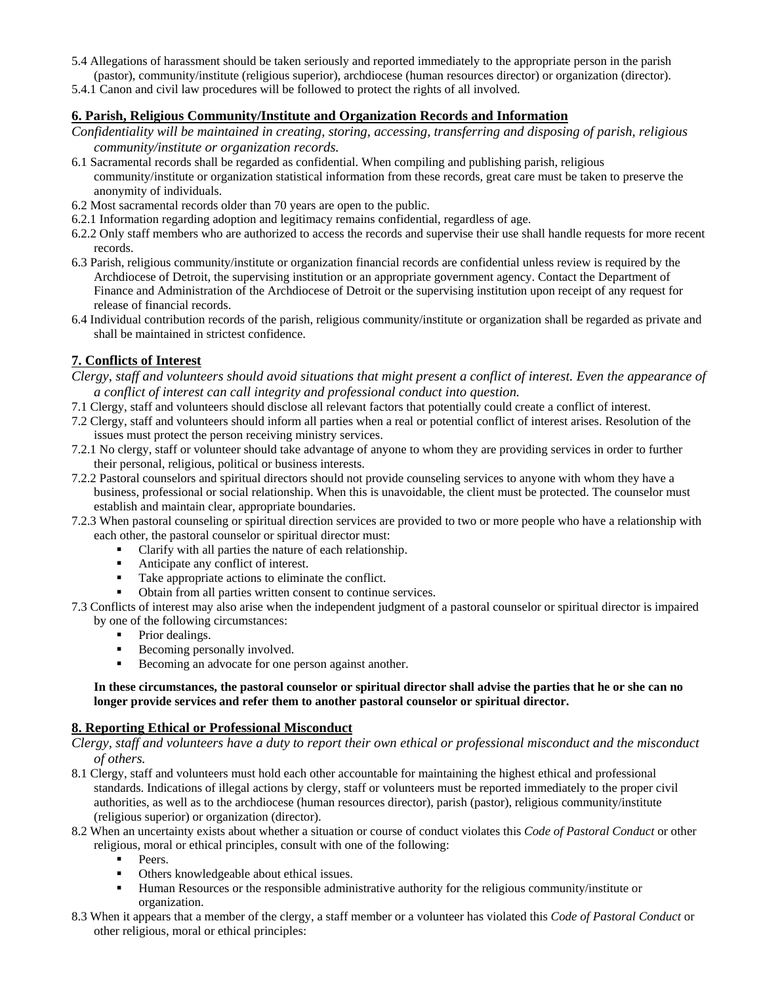- 5.4 Allegations of harassment should be taken seriously and reported immediately to the appropriate person in the parish (pastor), community/institute (religious superior), archdiocese (human resources director) or organization (director).
- 5.4.1 Canon and civil law procedures will be followed to protect the rights of all involved.

## **6. Parish, Religious Community/Institute and Organization Records and Information**

- *Confidentiality will be maintained in creating, storing, accessing, transferring and disposing of parish, religious community/institute or organization records.*
- 6.1 Sacramental records shall be regarded as confidential. When compiling and publishing parish, religious community/institute or organization statistical information from these records, great care must be taken to preserve the anonymity of individuals.
- 6.2 Most sacramental records older than 70 years are open to the public.
- 6.2.1 Information regarding adoption and legitimacy remains confidential, regardless of age.
- 6.2.2 Only staff members who are authorized to access the records and supervise their use shall handle requests for more recent records.
- 6.3 Parish, religious community/institute or organization financial records are confidential unless review is required by the Archdiocese of Detroit, the supervising institution or an appropriate government agency. Contact the Department of Finance and Administration of the Archdiocese of Detroit or the supervising institution upon receipt of any request for release of financial records.
- 6.4 Individual contribution records of the parish, religious community/institute or organization shall be regarded as private and shall be maintained in strictest confidence.

#### **7. Conflicts of Interest**

- *Clergy, staff and volunteers should avoid situations that might present a conflict of interest. Even the appearance of a conflict of interest can call integrity and professional conduct into question.*
- 7.1 Clergy, staff and volunteers should disclose all relevant factors that potentially could create a conflict of interest.
- 7.2 Clergy, staff and volunteers should inform all parties when a real or potential conflict of interest arises. Resolution of the issues must protect the person receiving ministry services.
- 7.2.1 No clergy, staff or volunteer should take advantage of anyone to whom they are providing services in order to further their personal, religious, political or business interests.
- 7.2.2 Pastoral counselors and spiritual directors should not provide counseling services to anyone with whom they have a business, professional or social relationship. When this is unavoidable, the client must be protected. The counselor must establish and maintain clear, appropriate boundaries.
- 7.2.3 When pastoral counseling or spiritual direction services are provided to two or more people who have a relationship with each other, the pastoral counselor or spiritual director must:
	- Clarify with all parties the nature of each relationship.
	- Anticipate any conflict of interest.
	- Take appropriate actions to eliminate the conflict.
	- Obtain from all parties written consent to continue services.
- 7.3 Conflicts of interest may also arise when the independent judgment of a pastoral counselor or spiritual director is impaired by one of the following circumstances:
	- Prior dealings.
	- Becoming personally involved.
	- Becoming an advocate for one person against another.

#### **In these circumstances, the pastoral counselor or spiritual director shall advise the parties that he or she can no longer provide services and refer them to another pastoral counselor or spiritual director.**

#### **8. Reporting Ethical or Professional Misconduct**

- *Clergy, staff and volunteers have a duty to report their own ethical or professional misconduct and the misconduct of others.*
- 8.1 Clergy, staff and volunteers must hold each other accountable for maintaining the highest ethical and professional standards. Indications of illegal actions by clergy, staff or volunteers must be reported immediately to the proper civil authorities, as well as to the archdiocese (human resources director), parish (pastor), religious community/institute (religious superior) or organization (director).
- 8.2 When an uncertainty exists about whether a situation or course of conduct violates this *Code of Pastoral Conduct* or other religious, moral or ethical principles, consult with one of the following:
	- Peers.
	- **•** Others knowledgeable about ethical issues.
	- Human Resources or the responsible administrative authority for the religious community/institute or organization.
- 8.3 When it appears that a member of the clergy, a staff member or a volunteer has violated this *Code of Pastoral Conduct* or other religious, moral or ethical principles: